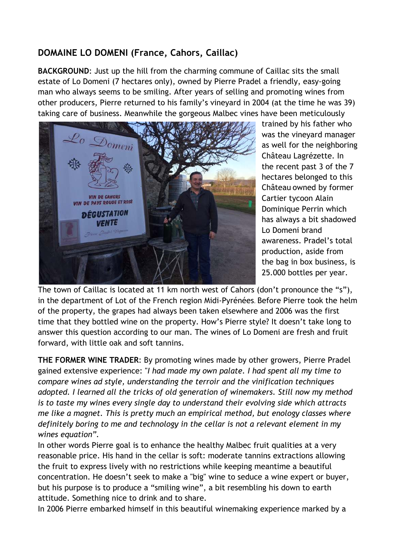## **DOMAINE LO DOMENI (France, Cahors, Caillac)**

**BACKGROUND**: Just up the hill from the charming commune of Caillac sits the small estate of Lo Domeni (7 hectares only), owned by Pierre Pradel a friendly, easy-going man who always seems to be smiling. After years of selling and promoting wines from other producers, Pierre returned to his family's vineyard in 2004 (at the time he was 39) taking care of business. Meanwhile the gorgeous Malbec vines have been meticulously



trained by his father who was the vineyard manager as well for the neighboring Château Lagrézette. In the recent past 3 of the 7 hectares belonged to this Château owned by former Cartier tycoon Alain Dominique Perrin which has always a bit shadowed Lo Domeni brand awareness. Pradel's total production, aside from the bag in box business, is 25.000 bottles per year.

The town of Caillac is located at 11 km north west of Cahors (don't pronounce the "s"), in the department of Lot of the French region Midi-Pyrénées. Before Pierre took the helm of the property, the grapes had always been taken elsewhere and 2006 was the first time that they bottled wine on the property. How's Pierre style? It doesn't take long to answer this question according to our man. The wines of Lo Domeni are fresh and fruit forward, with little oak and soft tannins.

**THE FORMER WINE TRADER**: By promoting wines made by other growers, Pierre Pradel gained extensive experience: "*I had made my own palate. I had spent all my time to compare wines ad style, understanding the terroir and the vinification techniques adopted. I learned all the tricks of old generation of winemakers. Still now my method is to taste my wines every single day to understand their evolving side which attracts me like a magnet. This is pretty much an empirical method, but enology classes where definitely boring to me and technology in the cellar is not a relevant element in my wines equation".* 

In other words Pierre goal is to enhance the healthy Malbec fruit qualities at a very reasonable price. His hand in the cellar is soft: moderate tannins extractions allowing the fruit to express lively with no restrictions while keeping meantime a beautiful concentration. He doesn't seek to make a "big" wine to seduce a wine expert or buyer, but his purpose is to produce a "smiling wine", a bit resembling his down to earth attitude. Something nice to drink and to share.

In 2006 Pierre embarked himself in this beautiful winemaking experience marked by a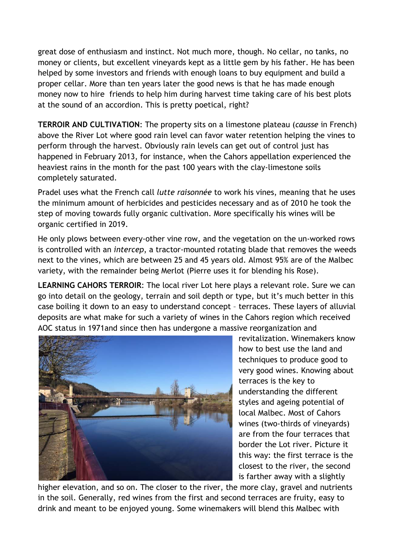great dose of enthusiasm and instinct. Not much more, though. No cellar, no tanks, no money or clients, but excellent vineyards kept as a little gem by his father. He has been helped by some investors and friends with enough loans to buy equipment and build a proper cellar. More than ten years later the good news is that he has made enough money now to hire friends to help him during harvest time taking care of his best plots at the sound of an accordion. This is pretty poetical, right?

**TERROIR AND CULTIVATION**: The property sits on a limestone plateau (*causse* in French) above the River Lot where good rain level can favor water retention helping the vines to perform through the harvest. Obviously rain levels can get out of control just has happened in February 2013, for instance, when the Cahors appellation experienced the heaviest rains in the month for the past 100 years with the clay-limestone soils completely saturated.

Pradel uses what the French call *lutte raisonnée* to work his vines, meaning that he uses the minimum amount of herbicides and pesticides necessary and as of 2010 he took the step of moving towards fully organic cultivation. More specifically his wines will be organic certified in 2019.

He only plows between every-other vine row, and the vegetation on the un-worked rows is controlled with an *intercep*, a tractor-mounted rotating blade that removes the weeds next to the vines, which are between 25 and 45 years old. Almost 95% are of the Malbec variety, with the remainder being Merlot (Pierre uses it for blending his Rose).

**LEARNING CAHORS TERROIR**: The local river Lot here plays a relevant role. Sure we can go into detail on the geology, terrain and soil depth or type, but it's much better in this case boiling it down to an easy to understand concept – terraces. These layers of alluvial deposits are what make for such a variety of wines in the Cahors region which received AOC status in 1971and since then has undergone a massive reorganization and



revitalization. Winemakers know how to best use the land and techniques to produce good to very good wines. Knowing about terraces is the key to understanding the different styles and ageing potential of local Malbec. Most of Cahors wines (two-thirds of vineyards) are from the four terraces that border the Lot river. Picture it this way: the first terrace is the closest to the river, the second is farther away with a slightly

higher elevation, and so on. The closer to the river, the more clay, gravel and nutrients in the soil. Generally, red wines from the first and second terraces are fruity, easy to drink and meant to be enjoyed young. Some winemakers will blend this Malbec with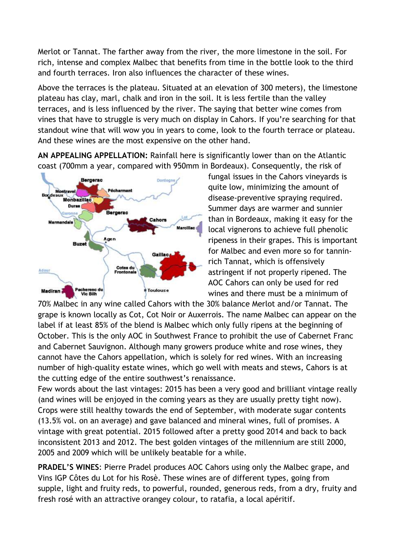Merlot or Tannat. The farther away from the river, the more limestone in the soil. For rich, intense and complex Malbec that benefits from time in the bottle look to the third and fourth terraces. Iron also influences the character of these wines.

Above the terraces is the plateau. Situated at an elevation of 300 meters), the limestone plateau has clay, marl, chalk and iron in the soil. It is less fertile than the valley terraces, and is less influenced by the river. The saying that better wine comes from vines that have to struggle is very much on display in Cahors. If you're searching for that standout wine that will wow you in years to come, look to the fourth terrace or plateau. And these wines are the most expensive on the other hand.

**AN APPEALING APPELLATION:** Rainfall here is significantly lower than on the Atlantic coast (700mm a year, compared with 950mm in Bordeaux). Consequently, the risk of



fungal issues in the Cahors vineyards is quite low, minimizing the amount of disease-preventive spraying required. Summer days are warmer and sunnier than in Bordeaux, making it easy for the local vignerons to achieve full phenolic ripeness in their grapes. This is important for Malbec and even more so for tanninrich Tannat, which is offensively astringent if not properly ripened. The AOC Cahors can only be used for red wines and there must be a minimum of

70% Malbec in any wine called Cahors with the 30% balance Merlot and/or Tannat. The grape is known locally as Cot, Cot Noir or Auxerrois. The name Malbec can appear on the label if at least 85% of the blend is Malbec which only fully ripens at the beginning of October. This is the only AOC in Southwest France to prohibit the use of Cabernet Franc and Cabernet Sauvignon. Although many growers produce white and rose wines, they cannot have the Cahors appellation, which is solely for red wines. With an increasing number of high-quality estate wines, which go well with meats and stews, Cahors is at the cutting edge of the entire southwest's renaissance.

Few words about the last vintages: 2015 has been a very good and brilliant vintage really (and wines will be enjoyed in the coming years as they are usually pretty tight now). Crops were still healthy towards the end of September, with moderate sugar contents (13.5% vol. on an average) and gave balanced and mineral wines, full of promises. A vintage with great potential. 2015 followed after a pretty good 2014 and back to back inconsistent 2013 and 2012. The best golden vintages of the millennium are still 2000, 2005 and 2009 which will be unlikely beatable for a while.

**PRADEL'S WINES**: Pierre Pradel produces AOC Cahors using only the Malbec grape, and Vins IGP Côtes du Lot for his Rosè. These wines are of different types, going from supple, light and fruity reds, to powerful, rounded, generous reds, from a dry, fruity and fresh rosé with an attractive orangey colour, to ratafia, a local apéritif.